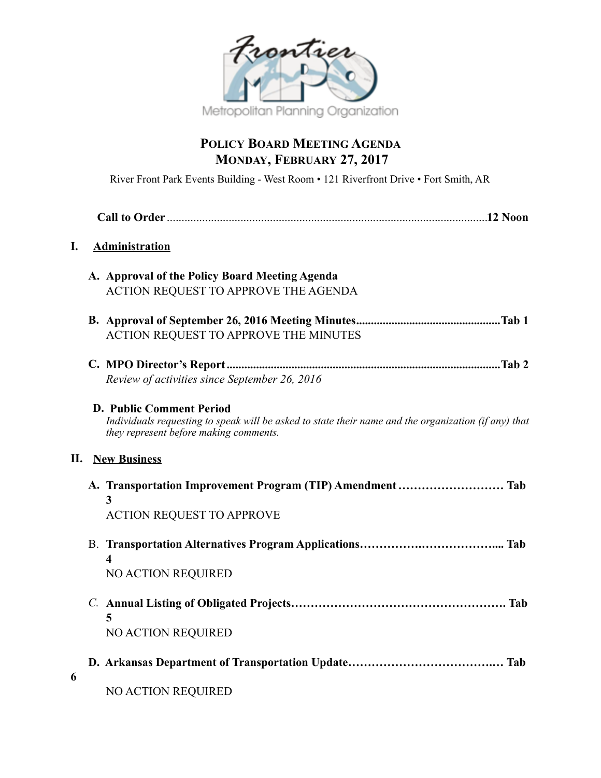

# **POLICY BOARD MEETING AGENDA MONDAY, FEBRUARY 27, 2017**

River Front Park Events Building - West Room • 121 Riverfront Drive • Fort Smith, AR

### **I. Administration**

| A. Approval of the Policy Board Meeting Agenda |
|------------------------------------------------|
| ACTION REQUEST TO APPROVE THE AGENDA           |

- **B. Approval of September 26, 2016 Meeting Minutes Tab 1 .................................................** ACTION REQUEST TO APPROVE THE MINUTES
- **C. MPO Director's Report Tab 2 .............................................................................................** *Review of activities since September 26, 2016*

#### **D. Public Comment Period**

*Individuals requesting to speak will be asked to state their name and the organization (if any) that they represent before making comments.* 

#### **II. New Business**

| <b>ACTION REQUEST TO APPROVE</b> |  |
|----------------------------------|--|
|                                  |  |
|                                  |  |
|                                  |  |
| <b>NO ACTION REQUIRED</b>        |  |
|                                  |  |

- *C.* **Annual Listing of Obligated Projects………………………………………………. Tab 5** NO ACTION REQUIRED
- **D. Arkansas Department of Transportation Update……………………………….… Tab**
- **6**
- NO ACTION REQUIRED